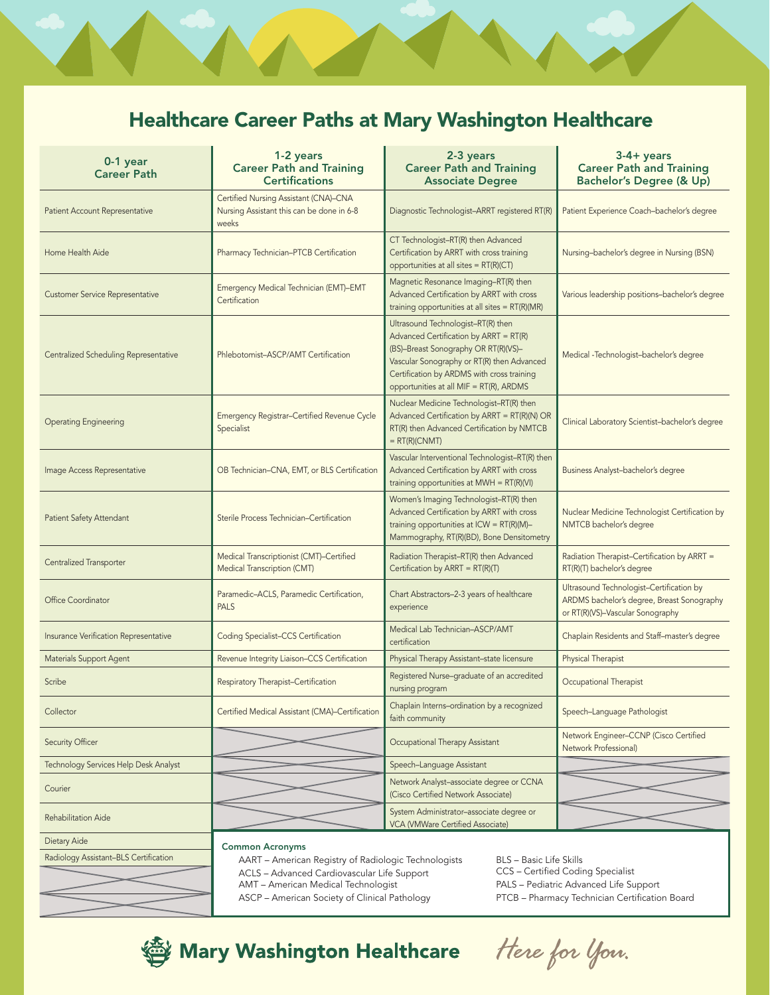## Healthcare Career Paths at Mary Washington Healthcare

| 0-1 year<br><b>Career Path</b>               | 1-2 years<br><b>Career Path and Training</b><br><b>Certifications</b>                       | 2-3 years<br><b>Career Path and Training</b><br><b>Associate Degree</b>                                                                                                                                                                                     | $3-4+ years$<br><b>Career Path and Training</b><br><b>Bachelor's Degree (&amp; Up)</b>                                     |
|----------------------------------------------|---------------------------------------------------------------------------------------------|-------------------------------------------------------------------------------------------------------------------------------------------------------------------------------------------------------------------------------------------------------------|----------------------------------------------------------------------------------------------------------------------------|
| Patient Account Representative               | Certified Nursing Assistant (CNA)-CNA<br>Nursing Assistant this can be done in 6-8<br>weeks | Diagnostic Technologist-ARRT registered RT(R)                                                                                                                                                                                                               | Patient Experience Coach-bachelor's degree                                                                                 |
| Home Health Aide                             | Pharmacy Technician-PTCB Certification                                                      | CT Technologist-RT(R) then Advanced<br>Certification by ARRT with cross training<br>opportunities at all sites = RT(R)(CT)                                                                                                                                  | Nursing-bachelor's degree in Nursing (BSN)                                                                                 |
| <b>Customer Service Representative</b>       | Emergency Medical Technician (EMT)-EMT<br>Certification                                     | Magnetic Resonance Imaging-RT(R) then<br>Advanced Certification by ARRT with cross<br>training opportunities at all sites = RT(R)(MR)                                                                                                                       | Various leadership positions-bachelor's degree                                                                             |
| <b>Centralized Scheduling Representative</b> | Phlebotomist-ASCP/AMT Certification                                                         | Ultrasound Technologist-RT(R) then<br>Advanced Certification by ARRT = RT(R)<br>(BS)-Breast Sonography OR RT(R)(VS)-<br>Vascular Sonography or RT(R) then Advanced<br>Certification by ARDMS with cross training<br>opportunities at all MIF = RT(R), ARDMS | Medical -Technologist-bachelor's degree                                                                                    |
| <b>Operating Engineering</b>                 | Emergency Registrar-Certified Revenue Cycle<br>Specialist                                   | Nuclear Medicine Technologist-RT(R) then<br>Advanced Certification by ARRT = RT(R)(N) OR<br>RT(R) then Advanced Certification by NMTCB<br>$= RT(R)(CNMT)$                                                                                                   | Clinical Laboratory Scientist-bachelor's degree                                                                            |
| Image Access Representative                  | OB Technician-CNA, EMT, or BLS Certification                                                | Vascular Interventional Technologist-RT(R) then<br>Advanced Certification by ARRT with cross<br>training opportunities at $MWH = RT(R)(VI)$                                                                                                                 | Business Analyst-bachelor's degree                                                                                         |
| Patient Safety Attendant                     | Sterile Process Technician-Certification                                                    | Women's Imaging Technologist-RT(R) then<br>Advanced Certification by ARRT with cross<br>training opportunities at ICW = RT(R)(M)-<br>Mammography, RT(R)(BD), Bone Densitometry                                                                              | Nuclear Medicine Technologist Certification by<br>NMTCB bachelor's degree                                                  |
| Centralized Transporter                      | Medical Transcriptionist (CMT)-Certified<br>Medical Transcription (CMT)                     | Radiation Therapist-RT(R) then Advanced<br>Certification by ARRT = $RT(R)(T)$                                                                                                                                                                               | Radiation Therapist-Certification by ARRT =<br>RT(R)(T) bachelor's degree                                                  |
| Office Coordinator                           | Paramedic-ACLS, Paramedic Certification,<br><b>PALS</b>                                     | Chart Abstractors-2-3 years of healthcare<br>experience                                                                                                                                                                                                     | Ultrasound Technologist-Certification by<br>ARDMS bachelor's degree, Breast Sonography<br>or RT(R)(VS)-Vascular Sonography |
| Insurance Verification Representative        | <b>Coding Specialist-CCS Certification</b>                                                  | Medical Lab Technician-ASCP/AMT<br>certification                                                                                                                                                                                                            | Chaplain Residents and Staff-master's degree                                                                               |
| <b>Materials Support Agent</b>               | Revenue Integrity Liaison-CCS Certification                                                 | Physical Therapy Assistant-state licensure                                                                                                                                                                                                                  | Physical Therapist                                                                                                         |
| Scribe                                       | Respiratory Therapist-Certification                                                         | Registered Nurse-graduate of an accredited<br>nursing program                                                                                                                                                                                               | Occupational Therapist                                                                                                     |
| Collector                                    | Certified Medical Assistant (CMA)-Certification                                             | Chaplain Interns-ordination by a recognized<br>faith community                                                                                                                                                                                              | Speech-Language Pathologist                                                                                                |
| Security Officer                             |                                                                                             | Occupational Therapy Assistant                                                                                                                                                                                                                              | Network Engineer-CCNP (Cisco Certified<br>Network Professional)                                                            |
| Technology Services Help Desk Analyst        |                                                                                             | Speech-Language Assistant                                                                                                                                                                                                                                   |                                                                                                                            |
| Courier                                      |                                                                                             | Network Analyst-associate degree or CCNA<br>(Cisco Certified Network Associate)                                                                                                                                                                             |                                                                                                                            |
| Rehabilitation Aide                          |                                                                                             | System Administrator-associate degree or<br>VCA (VMWare Certified Associate)                                                                                                                                                                                |                                                                                                                            |
| Dietary Aide                                 | <b>Common Acronyms</b>                                                                      |                                                                                                                                                                                                                                                             |                                                                                                                            |
| Radiology Assistant-BLS Certification        | AART – American Registry of Radiologic Technologists                                        | BLS - Basic Life Skills                                                                                                                                                                                                                                     |                                                                                                                            |

AART – American Registry of Radiologic Technologists ACLS – Advanced Cardiovascular Life Support AMT – American Medical Technologist

ASCP – American Society of Clinical Pathology

BLS – Basic Life Skills CCS – Certified Coding Specialist PALS – Pediatric Advanced Life Support PTCB – Pharmacy Technician Certification Board



Here for you.